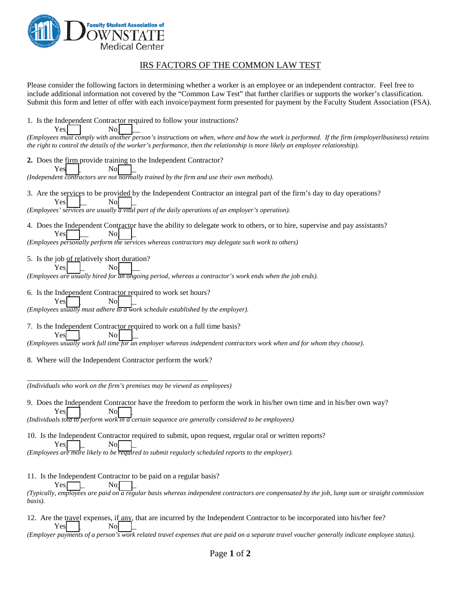

Yes<sup> $\vert$ </sup>  $\vert$  No

## IRS FACTORS OF THE COMMON LAW TEST

Please consider the following factors in determining whether a worker is an employee or an independent contractor. Feel free to include additional information not covered by the "Common Law Test" that further clarifies or supports the worker's classification. Submit this form and letter of offer with each invoice/payment form presented for payment by the Faculty Student Association (FSA).

1. Is the Independent Contractor required to follow your instructions?

*(Employees must comply with another person's instructions on when, where and how the work is performed. If the firm (employerlbusiness) retains the right to control the details of the worker's performance, then the relationship is more likely an employee relationship).*

**2.** Does the firm provide training to the Independent Contractor? Yes<sup>t</sup> l No

*(Independent contractors are not normally trained by the firm and use their own methods).* 

- 3. Are the services to be provided by the Independent Contractor an integral part of the firm's day to day operations? Yes No *(Employees' services are usually a vital part of the daily operations of an employer's operation).*
- 4. Does the Independent Contractor have the ability to delegate work to others, or to hire, supervise and pay assistants? Yes<sup>l</sup> I No

*(Employees personally perform the services whereas contractors may delegate such work to others)*

5. Is the job of relatively short duration? Yes<sup>l</sup> I No

*(Employees are usually hired for an ongoing period, whereas a contractor's work ends when the job ends).*

6. Is the Independent Contractor required to work set hours?

Yes<sup>t</sup> *(Employees usually must adhere to a work schedule established by the employer).*

7. Is the Independent Contractor required to work on a full time basis?

 $Yes \t No \t \t$ *(Employees usually work full time for an employer whereas independent contractors work when and for whom they choose).*

8. Where will the Independent Contractor perform the work?

\_\_\_\_\_\_\_\_\_\_\_\_\_\_\_\_\_\_\_\_\_\_\_\_\_\_\_\_\_\_\_\_\_\_\_\_\_\_\_\_\_\_\_\_\_\_\_\_

*(Individuals who work on the firm's premises may be viewed as employees)*

9. Does the Independent Contractor have the freedom to perform the work in his/her own time and in his/her own way? Yes<sup>l</sup> I No

*(Individuals told to perform work in a certain sequence are generally considered to be employees)*

10. Is the Independent Contractor required to submit, upon request, regular oral or written reports? Yes<sup>t</sup>

*(Employees are more likely to be required to submit regularly scheduled reports to the employer).*

11. Is the Independent Contractor to be paid on a regular basis?

 $Yes$  No *(Typically, employees are paid on a regular basis whereas independent contractors are compensated by the job, lump sum or straight commission basis).* 

12. Are the travel expenses, if any, that are incurred by the Independent Contractor to be incorporated into his/her fee? Yes<sup>dest</sup> No

*(Employer payments of a person's work related travel expenses that are paid on a separate travel voucher generally indicate employee status).*